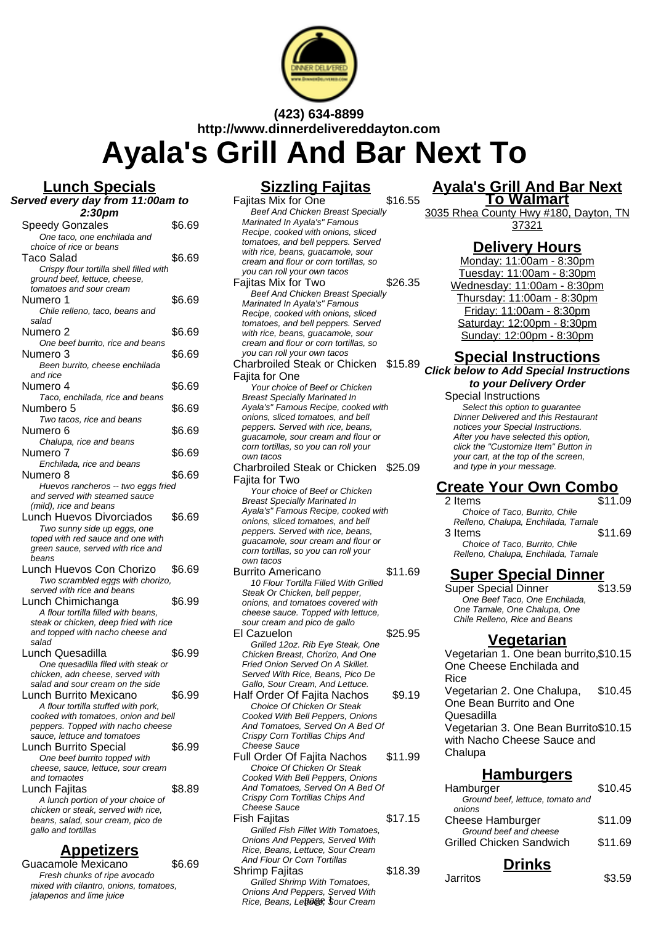

**(423) 634-8899**

**http://www.dinnerdelivereddayton.com**

**Ayala's Grill And Bar Next To**

**Lunch Specials Served every day from 11:00am to 2:30pm** Speedy Gonzales \$6.69 One taco, one enchilada and choice of rice or beans Taco Salad \$6.69 Crispy flour tortilla shell filled with ground beef, lettuce, cheese, tomatoes and sour cream Numero 1 \$6.69 Chile relleno, taco, beans and salad Numero 2  $$6.69$ One beef burrito, rice and beans Numero 3 \$6.69 Been burrito, cheese enchilada and rice Numero 4  $$6.69$ Taco, enchilada, rice and beans Numbero 5  $$6.69$ Two tacos, rice and beans Numero 6  $$6.69$ Chalupa, rice and beans Numero 7 \$6.69 Enchilada, rice and beans Numero 8  $$6.69$ Huevos rancheros -- two eggs fried and served with steamed sauce (mild), rice and beans Lunch Huevos Divorciados \$6.69 Two sunny side up eggs, one toped with red sauce and one with green sauce, served with rice and beans Lunch Huevos Con Chorizo \$6.69 Two scrambled eggs with chorizo, served with rice and beans Lunch Chimichanga  $$6.99$ A flour tortilla filled with beans, steak or chicken, deep fried with rice and topped with nacho cheese and salad Lunch Quesadilla  $$6.99$ One quesadilla filed with steak or chicken, adn cheese, served with salad and sour cream on the side Lunch Burrito Mexicano \$6.99 A flour tortilla stuffed with pork, cooked with tomatoes, onion and bell peppers. Topped with nacho cheese sauce, lettuce and tomatoes Lunch Burrito Special \$6.99 One beef burrito topped with cheese, sauce, lettuce, sour cream and tomaotes Lunch Fajitas **\$8.89** A lunch portion of your choice of

chicken or steak, served with rice, beans, salad, sour cream, pico de gallo and tortillas

#### **Appetizers**

Guacamole Mexicano \$6.69 Fresh chunks of ripe avocado mixed with cilantro, onions, tomatoes, jalapenos and lime juice

#### **Sizzling Fajitas**

Fajitas Mix for One \$16.55 Beef And Chicken Breast Specially Marinated In Ayala's" Famous Recipe, cooked with onions, sliced tomatoes, and bell peppers. Served with rice, beans, guacamole, sour cream and flour or corn tortillas, so you can roll your own tacos Fajitas Mix for Two \$26.35 Beef And Chicken Breast Specially Marinated In Ayala's" Famous Recipe, cooked with onions, sliced tomatoes, and bell peppers. Served with rice, beans, guacamole, sour cream and flour or corn tortillas, so you can roll your own tacos Charbroiled Steak or Chicken \$15.89 Fajita for One Your choice of Beef or Chicken Breast Specially Marinated In Ayala's" Famous Recipe, cooked with onions, sliced tomatoes, and bell peppers. Served with rice, beans, guacamole, sour cream and flour or corn tortillas, so you can roll your own tacos Charbroiled Steak or Chicken Fajita for Two \$25.09 Your choice of Beef or Chicken Breast Specially Marinated In Ayala's" Famous Recipe, cooked with onions, sliced tomatoes, and bell peppers. Served with rice, beans, guacamole, sour cream and flour or corn tortillas, so you can roll your own tacos Burrito Americano \$11.69 10 Flour Tortilla Filled With Grilled Steak Or Chicken, bell pepper, onions, and tomatoes covered with cheese sauce. Topped with lettuce, sour cream and pico de gallo El Cazuelon \$25.95 Grilled 12oz. Rib Eye Steak, One Chicken Breast, Chorizo, And One Fried Onion Served On A Skillet. Served With Rice, Beans, Pico De Gallo, Sour Cream, And Lettuce. Half Order Of Fajita Nachos \$9.19 Choice Of Chicken Or Steak Cooked With Bell Peppers, Onions And Tomatoes, Served On A Bed Of Crispy Corn Tortillas Chips And Cheese Sauce Full Order Of Fajita Nachos \$11.99 Choice Of Chicken Or Steak Cooked With Bell Peppers, Onions And Tomatoes, Served On A Bed Of

Crispy Corn Tortillas Chips And Cheese Sauce Fish Fajitas **\$17.15** Grilled Fish Fillet With Tomatoes, Onions And Peppers, Served With Rice, Beans, Lettuce, Sour Cream And Flour Or Corn Tortillas Shrimp Fajitas **\$18.39** Grilled Shrimp With Tomatoes,

Onions And Peppers, Served With Rice, Beans, Lettuge, Sour Cream

#### **Ayala's Grill And Bar Next To Walmart**

3035 Rhea County Hwy #180, Dayton, TN 37321

### **Delivery Hours**

Monday: 11:00am - 8:30pm Tuesday: 11:00am - 8:30pm Wednesday: 11:00am - 8:30pm Thursday: 11:00am - 8:30pm Friday: 11:00am - 8:30pm Saturday: 12:00pm - 8:30pm Sunday: 12:00pm - 8:30pm

#### **Special Instructions**

**Click below to Add Special Instructions to your Delivery Order**

Special Instructions Select this option to quarantee Dinner Delivered and this Restaurant notices your Special Instructions. After you have selected this option, click the "Customize Item" Button in your cart, at the top of the screen, and type in your message.

## **Create Your Own Combo**

2 Items \$11.09 Choice of Taco, Burrito, Chile Relleno, Chalupa, Enchilada, Tamale

3 Items \$11.69 Choice of Taco, Burrito, Chile Relleno, Chalupa, Enchilada, Tamale

#### **Super Special Dinner**

Super Special Dinner \$13.59 One Beef Taco, One Enchilada, One Tamale, One Chalupa, One Chile Relleno, Rice and Beans

#### **Vegetarian**

Vegetarian 1. One bean burrito, \$10.15 One Cheese Enchilada and Rice Vegetarian 2. One Chalupa, One Bean Burrito and One **Quesadilla** \$10.45 Vegetarian 3. One Bean Burrito \$10.15 with Nacho Cheese Sauce and Chalupa

#### **Hamburgers**

| <b>Deinlea</b>                   |         |
|----------------------------------|---------|
| Grilled Chicken Sandwich         | \$11.69 |
| Ground beef and cheese           |         |
| <b>Cheese Hamburger</b>          | \$11.09 |
| onions                           |         |
| Ground beef, lettuce, tomato and |         |
| Hamburger                        | \$10.45 |
|                                  |         |

**Drinks**

Jarritos \$3.59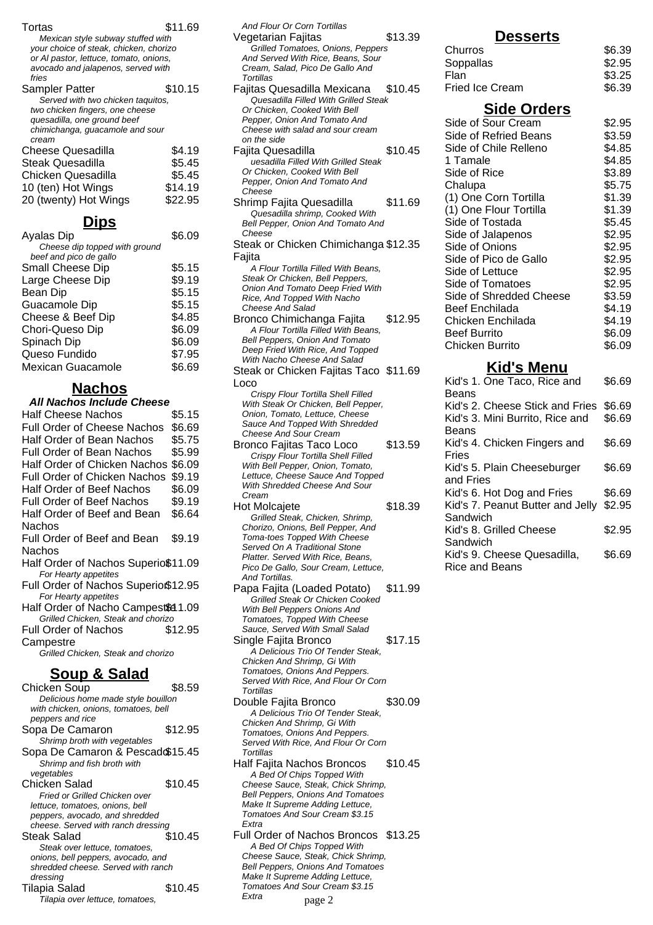| Tortas                                                                       | \$11.69          |  |
|------------------------------------------------------------------------------|------------------|--|
| Mexican style subway stuffed with                                            |                  |  |
| your choice of steak, chicken, chorizo                                       |                  |  |
| or Al pastor, lettuce, tomato, onions,<br>avocado and jalapenos, served with |                  |  |
| fries                                                                        |                  |  |
| Sampler Patter                                                               | \$10.15          |  |
| Served with two chicken taquitos,<br>two chicken fingers, one cheese         |                  |  |
| quesadilla, one ground beef                                                  |                  |  |
| chimichanga, guacamole and sour<br>cream                                     |                  |  |
| <b>Cheese Quesadilla</b>                                                     | \$4.19           |  |
| <b>Steak Quesadilla</b>                                                      | \$5.45           |  |
| <b>Chicken Quesadilla</b>                                                    | \$5.45           |  |
| 10 (ten) Hot Wings                                                           | \$14.19          |  |
| 20 (twenty) Hot Wings                                                        | \$22.95          |  |
|                                                                              |                  |  |
| <u>Dips</u>                                                                  |                  |  |
| Ayalas Dip<br>Cheese dip topped with ground                                  | \$6.09           |  |
| beef and pico de gallo                                                       |                  |  |
| Small Cheese Dip                                                             | \$5.15           |  |
| Large Cheese Dip                                                             | \$9.19           |  |
| <b>Bean Dip</b>                                                              | \$5.15           |  |
| Guacamole Dip                                                                | \$5.15           |  |
| Cheese & Beef Dip                                                            | \$4.85           |  |
| Chori-Queso Dip<br>Spinach Dip                                               | \$6.09<br>\$6.09 |  |
| Queso Fundido                                                                | \$7.95           |  |
| <b>Mexican Guacamole</b>                                                     | \$6.69           |  |
|                                                                              |                  |  |
| <b>Nachos</b>                                                                |                  |  |
| All Nachos Include Cheese                                                    |                  |  |
| <b>Half Cheese Nachos</b>                                                    | \$5.15           |  |
| <b>Full Order of Cheese Nachos</b>                                           | \$6.69           |  |
| Half Order of Bean Nachos                                                    | \$5.75           |  |
|                                                                              |                  |  |
| <b>Full Order of Bean Nachos</b>                                             | \$5.99           |  |
| Half Order of Chicken Nachos                                                 | \$6.09           |  |
| <b>Full Order of Chicken Nachos</b>                                          | \$9.19           |  |
| <b>Half Order of Beef Nachos</b><br>Full Order of Beef Nachos                | \$6.09           |  |
| Half Order of Beef and Bean                                                  | \$9.19<br>\$6.64 |  |
| Nachos                                                                       |                  |  |
| Full Order of Beef and Bean                                                  | \$9.19           |  |
| Nachos                                                                       |                  |  |
| Half Order of Nachos Superio\$11.09                                          |                  |  |
| For Hearty appetites                                                         |                  |  |
| Full Order of Nachos Superio\$12.95<br>For Hearty appetites                  |                  |  |
| Half Order of Nacho Campest\$41.09                                           |                  |  |
| Grilled Chicken, Steak and chorizo                                           |                  |  |
| <b>Full Order of Nachos</b>                                                  | \$12.95          |  |
| Campestre<br>Grilled Chicken, Steak and chorizo                              |                  |  |
|                                                                              |                  |  |
| <u>Soup &amp; Salad</u>                                                      |                  |  |
| Chicken Soup                                                                 | \$8.59           |  |
| Delicious home made style bouillon                                           |                  |  |
| with chicken, onions, tomatoes, bell<br>peppers and rice                     |                  |  |
| Sopa De Camaron                                                              | \$12.95          |  |
| Shrimp broth with vegetables                                                 |                  |  |
| Sopa De Camaron & Pescad \$15.45<br>Shrimp and fish broth with               |                  |  |
| vegetables                                                                   |                  |  |
| Chicken Salad                                                                | \$10.45          |  |
| Fried or Grilled Chicken over                                                |                  |  |
| lettuce, tomatoes, onions, bell<br>peppers, avocado, and shredded            |                  |  |
| cheese. Served with ranch dressing                                           |                  |  |
| <b>Steak Salad</b>                                                           | \$10.45          |  |
| Steak over lettuce, tomatoes,<br>onions, bell peppers, avocado, and          |                  |  |
| shredded cheese. Served with ranch<br>dressing                               |                  |  |

Tilapia over lettuce, tomatoes,

| And Flour Or Corn Tortillas                                              |
|--------------------------------------------------------------------------|
| \$13.39<br>Vegetarian Fajitas                                            |
| Grilled Tomatoes, Onions, Peppers<br>And Served With Rice, Beans, Sour   |
| Cream, Salad, Pico De Gallo And                                          |
| Tortillas<br>Fajitas Quesadilla Mexicana<br>\$10.45                      |
| Quesadilla Filled With Grilled Steak                                     |
| Or Chicken, Cooked With Bell                                             |
| Pepper, Onion And Tomato And                                             |
| Cheese with salad and sour cream<br>on the side                          |
| \$10.45<br>Fajita Quesadilla                                             |
| uesadilla Filled With Grilled Steak                                      |
| Or Chicken, Cooked With Bell<br>Pepper, Onion And Tomato And             |
| Cheese                                                                   |
| Shrimp Fajita Quesadilla<br>\$11.69                                      |
| Quesadilla shrimp, Cooked With                                           |
| Bell Pepper, Onion And Tomato And<br>Cheese                              |
| Steak or Chicken Chimichanga \$12.35                                     |
| Fajita                                                                   |
| A Flour Tortilla Filled With Beans,                                      |
| Steak Or Chicken, Bell Peppers,<br>Onion And Tomato Deep Fried With      |
| Rice, And Topped With Nacho                                              |
| <b>Cheese And Salad</b>                                                  |
| Bronco Chimichanga Fajita<br>\$12.95                                     |
| A Flour Tortilla Filled With Beans,<br>Bell Peppers, Onion And Tomato    |
| Deep Fried With Rice, And Topped                                         |
| With Nacho Cheese And Salad                                              |
| Steak or Chicken Fajitas Taco \$11.69                                    |
| Loco<br>Crispy Flour Tortilla Shell Filled                               |
| With Steak Or Chicken, Bell Pepper,                                      |
| Onion, Tomato, Lettuce, Cheese                                           |
| Sauce And Topped With Shredded<br>Cheese And Sour Cream                  |
| Bronco Fajitas Taco Loco<br>\$13.59                                      |
| Crispy Flour Tortilla Shell Filled                                       |
|                                                                          |
| With Bell Pepper, Onion, Tomato,                                         |
| Lettuce, Cheese Sauce And Topped<br>With Shredded Cheese And Sour        |
| Cream                                                                    |
| Hot Molcajete<br>\$18.39                                                 |
| Grilled Steak, Chicken, Shrimp,                                          |
| Chorizo, Onions, Bell Pepper, And<br>Toma-toes Topped With Cheese        |
| Served On A Traditional Stone                                            |
| Platter, Served With Rice, Beans,<br>Pico De Gallo, Sour Cream, Lettuce, |
| And Tortillas.                                                           |
| Papa Fajita (Loaded Potato)<br>\$11.99                                   |
| Grilled Steak Or Chicken Cooked                                          |
| With Bell Peppers Onions And<br>Tomatoes, Topped With Cheese             |
| Sauce, Served With Small Salad                                           |
| \$17.15<br>Single Fajita Bronco                                          |
| A Delicious Trio Of Tender Steak,                                        |
| Chicken And Shrimp, Gi With<br>Tomatoes, Onions And Peppers.             |
| Served With Rice, And Flour Or Corn                                      |
| <b>Tortillas</b>                                                         |
| Double Fajita Bronco<br>\$30.09<br>A Delicious Trio Of Tender Steak,     |
| Chicken And Shrimp, Gi With                                              |
| Tomatoes, Onions And Peppers.                                            |
| Served With Rice, And Flour Or Corn<br>Tortillas                         |
| Half Fajita Nachos Broncos<br>\$10.45                                    |
| A Bed Of Chips Topped With                                               |
| Cheese Sauce, Steak, Chick Shrimp,<br>Bell Peppers, Onions And Tomatoes  |
| Make It Supreme Adding Lettuce,                                          |
| Tomatoes And Sour Cream \$3.15<br>Extra                                  |
| Full Order of Nachos Broncos<br>\$13.25                                  |
| A Bed Of Chips Topped With                                               |
| Cheese Sauce, Steak, Chick Shrimp,                                       |
| Bell Peppers, Onions And Tomatoes<br>Make It Supreme Adding Lettuce,     |
| Tomatoes And Sour Cream \$3.15<br>Extra                                  |

| <u>Desserts</u>                             |                  |
|---------------------------------------------|------------------|
| Churros                                     | \$6.39           |
| Soppallas                                   | \$2.95           |
| Flan                                        | \$3.25           |
| <b>Fried Ice Cream</b>                      | \$6.39           |
| <b>Side Orders</b>                          |                  |
| Side of Sour Cream                          | \$2.95           |
| <b>Side of Refried Beans</b>                | \$3.59           |
| Side of Chile Relleno                       | \$4.85           |
| 1 Tamale                                    | \$4.85           |
| Side of Rice                                | \$3.89           |
| Chalupa                                     | \$5.75           |
| (1) One Corn Tortilla                       | \$1.39           |
| (1) One Flour Tortilla                      | \$1.39           |
| Side of Tostada                             | \$5.45           |
| Side of Jalapenos                           | \$2.95           |
| Side of Onions                              | \$2.95           |
| Side of Pico de Gallo                       | \$2.95           |
| Side of Lettuce                             | \$2.95           |
| Side of Tomatoes<br>Side of Shredded Cheese | \$2.95           |
| <b>Beef Enchilada</b>                       | \$3.59           |
| Chicken Enchilada                           | \$4.19<br>\$4.19 |
| <b>Beef Burrito</b>                         | \$6.09           |
| <b>Chicken Burrito</b>                      | \$6.09           |
|                                             |                  |
| <u>Kid's Menu</u>                           |                  |
| Kid's 1. One Taco, Rice and<br>Beans        | \$6.69           |
| Kid's 2. Cheese Stick and Fries             | \$6.69           |
| Kid's 3. Mini Burrito, Rice and             | \$6.69           |
| Beans                                       |                  |
| Kid's 4. Chicken Fingers and                | \$6.69           |
| Fries                                       |                  |
| Kid's 5. Plain Cheeseburger<br>and Fries    | \$6.69           |
| Kid's 6. Hot Dog and Fries                  | \$6.69           |
| Kid's 7. Peanut Butter and Jelly            | \$2.95           |
| Sandwich                                    |                  |
| Kid's 8. Grilled Cheese                     | \$2.95           |

Sandwich

Rice and Beans

Kid's 9. Cheese Quesadilla,

\$6.69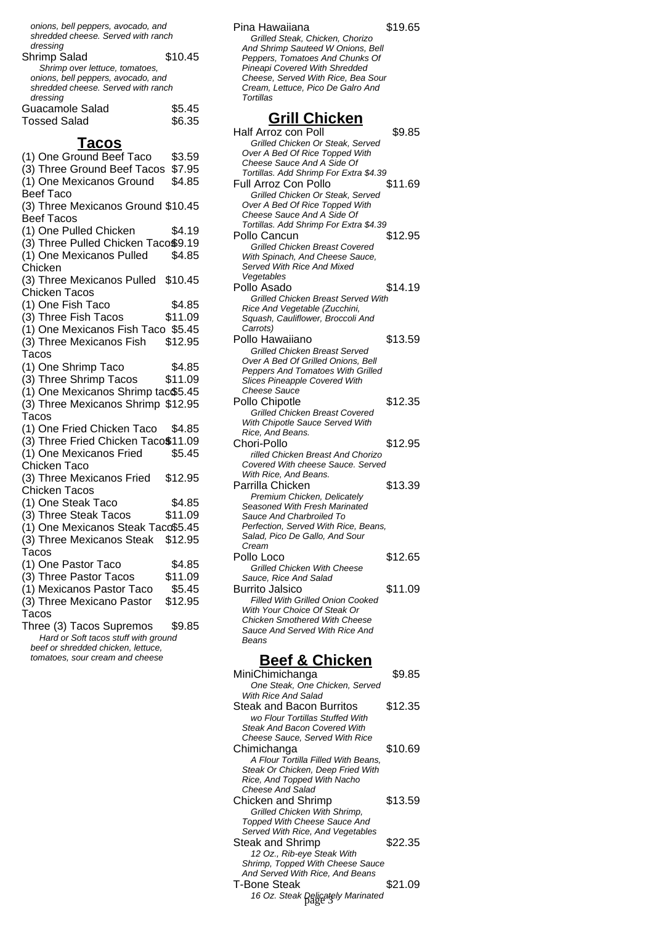| onions, bell peppers, avocado, and<br>shredded cheese. Served with ranch |         |
|--------------------------------------------------------------------------|---------|
| dressing                                                                 |         |
| Shrimp Salad                                                             | \$10.45 |
| Shrimp over lettuce, tomatoes,                                           |         |
| onions, bell peppers, avocado, and                                       |         |
| shredded cheese. Served with ranch                                       |         |
| dressing                                                                 |         |
| Guacamole Salad                                                          | \$5.45  |
| <b>Tossed Salad</b>                                                      | \$6.35  |

## **Tacos**

| (1) One Ground Beef Taco                                              | \$3.59  |
|-----------------------------------------------------------------------|---------|
| (3) Three Ground Beef Tacos                                           | \$7.95  |
| (1) One Mexicanos Ground                                              | \$4.85  |
| <b>Beef Taco</b>                                                      |         |
| (3) Three Mexicanos Ground \$10.45                                    |         |
| <b>Beef Tacos</b>                                                     |         |
| (1) One Pulled Chicken                                                | \$4.19  |
| (3) Three Pulled Chicken Taco\$9.19                                   |         |
| (1) One Mexicanos Pulled                                              | \$4.85  |
| Chicken                                                               |         |
| (3) Three Mexicanos Pulled                                            | \$10.45 |
| <b>Chicken Tacos</b>                                                  |         |
| (1) One Fish Taco                                                     | \$4.85  |
| (3) Three Fish Tacos                                                  | \$11.09 |
| (1) One Mexicanos Fish Taco \$5.45                                    |         |
| (3) Three Mexicanos Fish                                              | \$12.95 |
| Tacos                                                                 |         |
| (1) One Shrimp Taco                                                   | \$4.85  |
| (3) Three Shrimp Tacos                                                | \$11.09 |
| (1) One Mexicanos Shrimp tac\$5.45                                    |         |
| (3) Three Mexicanos Shrimp \$12.95                                    |         |
| Tacos                                                                 |         |
| (1) One Fried Chicken Taco                                            | \$4.85  |
| (3) Three Fried Chicken Taco\$11.09                                   |         |
| (1) One Mexicanos Fried                                               | \$5.45  |
| Chicken Taco                                                          |         |
| (3) Three Mexicanos Fried                                             | \$12.95 |
| <b>Chicken Tacos</b>                                                  |         |
| (1) One Steak Taco                                                    | \$4.85  |
| (3) Three Steak Tacos                                                 | \$11.09 |
| (1) One Mexicanos Steak Taco\$5.45                                    |         |
| (3) Three Mexicanos Steak                                             | \$12.95 |
| Tacos                                                                 |         |
| (1) One Pastor Taco                                                   | \$4.85  |
| (3) Three Pastor Tacos                                                | \$11.09 |
| (1) Mexicanos Pastor Taco                                             | \$5.45  |
| (3) Three Mexicano Pastor                                             | \$12.95 |
| Tacos                                                                 |         |
| Three (3) Tacos Supremos                                              | \$9.85  |
| Hard or Soft tacos stuff with ground                                  |         |
| beef or shredded chicken, lettuce,<br>tomatoes, sour cream and cheese |         |
|                                                                       |         |

Pina Hawaiiana  $$19.65$ Grilled Steak, Chicken, Chorizo And Shrimp Sauteed W Onions, Bell Peppers, Tomatoes And Chunks Of Pineapi Covered With Shredded Cheese, Served With Rice, Bea Sour Cream, Lettuce, Pico De Galro And **Tortillas Grill Chicken** Half Arroz con Poll \$9.85 Grilled Chicken Or Steak, Served Over A Bed Of Rice Topped With Cheese Sauce And A Side Of Tortillas. Add Shrimp For Extra \$4.39 Full Arroz Con Pollo \$11.69 Grilled Chicken Or Steak, Served Over A Bed Of Rice Topped With Cheese Sauce And A Side Of Tortillas. Add Shrimp For Extra \$4.39 Pollo Cancun \$12.95 Grilled Chicken Breast Covered With Spinach, And Cheese Sauce, Served With Rice And Mixed Vegetables Pollo Asado  $$14.19$ Grilled Chicken Breast Served With Rice And Vegetable (Zucchini, Squash, Cauliflower, Broccoli And Carrots) Pollo Hawaiiano  $$13.59$ Grilled Chicken Breast Served Over A Bed Of Grilled Onions, Bell Peppers And Tomatoes With Grilled Slices Pineapple Covered With Cheese Sauce Pollo Chipotle **\$12.35** Grilled Chicken Breast Covered With Chipotle Sauce Served With Rice, And Beans. Chori-Pollo \$12.95 rilled Chicken Breast And Chorizo Covered With cheese Sauce. Served With Rice, And Beans. Parrilla Chicken \$13.39 Premium Chicken, Delicately Seasoned With Fresh Marinated Sauce And Charbroiled To Perfection, Served With Rice, Beans, Salad, Pico De Gallo, And Sour Cream Pollo Loco \$12.65 Grilled Chicken With Cheese Sauce, Rice And Salad Burrito Jalsico  $$11.09$ Filled With Grilled Onion Cooked With Your Choice Of Steak Or Chicken Smothered With Cheese Sauce And Served With Rice And Beans **Beef & Chicken**

#### MiniChimichanga \$9.85 One Steak, One Chicken, Served With Rice And Salad Steak and Bacon Burritos \$12.35 wo Flour Tortillas Stuffed With Steak And Bacon Covered With Cheese Sauce, Served With Rice Chimichanga \$10.69 A Flour Tortilla Filled With Beans, Steak Or Chicken, Deep Fried With Rice, And Topped With Nacho Cheese And Salad Chicken and Shrimp \$13.59 Grilled Chicken With Shrimp, Topped With Cheese Sauce And Served With Rice, And Vegetables Steak and Shrimp  $$22.35$ 12 Oz., Rib-eye Steak With Shrimp, Topped With Cheese Sauce And Served With Rice, And Beans T-Bone Steak \$21.09 16 Oz. Steak Delicately Marinated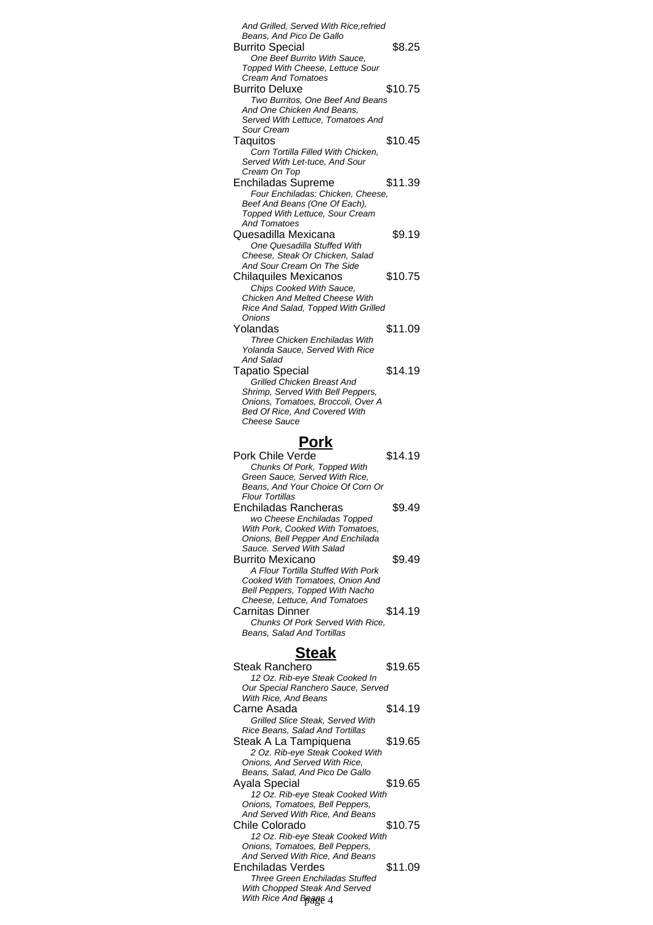| And Grilled, Served With Rice, refried                                |         |
|-----------------------------------------------------------------------|---------|
| Beans, And Pico De Gallo                                              |         |
| <b>Burrito Special</b>                                                | \$8.25  |
| One Beef Burrito With Sauce,<br>Topped With Cheese, Lettuce Sour      |         |
| <b>Cream And Tomatoes</b>                                             |         |
| <b>Burrito Deluxe</b><br>Two Burritos, One Beef And Beans             | \$10.75 |
| And One Chicken And Beans,                                            |         |
| Served With Lettuce, Tomatoes And<br>Sour Cream                       |         |
| Taquitos                                                              | \$10.45 |
| Corn Tortilla Filled With Chicken.                                    |         |
| Served With Let-tuce, And Sour<br>Cream On Top                        |         |
| <b>Enchiladas Supreme</b>                                             | \$11.39 |
| Four Enchiladas: Chicken, Cheese,<br>Beef And Beans (One Of Each),    |         |
| Topped With Lettuce, Sour Cream                                       |         |
| <b>And Tomatoes</b>                                                   |         |
| Quesadilla Mexicana<br>One Quesadilla Stuffed With                    | \$9.19  |
| Cheese, Steak Or Chicken, Salad                                       |         |
| And Sour Cream On The Side<br><b>Chilaquiles Mexicanos</b>            | \$10.75 |
| Chips Cooked With Sauce,                                              |         |
| <b>Chicken And Melted Cheese With</b>                                 |         |
| Rice And Salad, Topped With Grilled<br>Onions                         |         |
| Yolandas                                                              | \$11.09 |
| Three Chicken Enchiladas With<br>Yolanda Sauce, Served With Rice      |         |
| And Salad                                                             |         |
| <b>Tapatio Special</b>                                                | \$14.19 |
| Grilled Chicken Breast And<br>Shrimp, Served With Bell Peppers,       |         |
| Onions, Tomatoes, Broccoli, Over A                                    |         |
| <b>Bed Of Rice, And Covered With</b><br><b>Cheese Sauce</b>           |         |
|                                                                       |         |
| Pork                                                                  |         |
|                                                                       |         |
| Pork Chile Verde                                                      | \$14.19 |
| Chunks Of Pork, Topped With<br>Green Sauce, Served With Rice,         |         |
| Beans, And Your Choice Of Corn Or                                     |         |
| Flour Tortillas<br>Enchiladas Rancheras                               | \$9.49  |
| wo Cheese Enchiladas Topped                                           |         |
| With Pork, Cooked With Tomatoes,                                      |         |
| Onions, Bell Pepper And Enchilada<br>Sauce. Served With Salad         |         |
| <b>Burrito Mexicano</b>                                               | \$9.49  |
| A Flour Tortilla Stuffed With Pork<br>Cooked With Tomatoes, Onion And |         |
| Bell Peppers, Topped With Nacho                                       |         |
| Cheese, Lettuce, And Tomatoes<br>Carnitas Dinner                      | \$14.19 |
| Chunks Of Pork Served With Rice,                                      |         |
| Beans, Salad And Tortillas                                            |         |
| <b>Steak</b>                                                          |         |
| Steak Ranchero                                                        | \$19.65 |
| 12 Oz. Rib-eye Steak Cooked In                                        |         |
| Our Special Ranchero Sauce, Served<br>With Rice, And Beans            |         |
| Carne Asada                                                           | \$14.19 |
| Grilled Slice Steak, Served With<br>Rice Beans, Salad And Tortillas   |         |
| Steak A La Tampiquena                                                 | \$19.65 |
| 2 Oz. Rib-eye Steak Cooked With                                       |         |
| Onions, And Served With Rice,<br>Beans, Salad, And Pico De Gallo      |         |
| Ayala Special                                                         | \$19.65 |
| 12 Oz. Rib-eye Steak Cooked With<br>Onions, Tomatoes, Bell Peppers,   |         |
| And Served With Rice, And Beans                                       |         |
| Chile Colorado                                                        | \$10.75 |
| 12 Oz. Rib-eye Steak Cooked With<br>Onions, Tomatoes, Bell Peppers,   |         |
| And Served With Rice, And Beans<br>Enchiladas Verdes                  | \$11.09 |

|          |  |  | <b>Three Green Enchiladas Stuffed</b> |  |
|----------|--|--|---------------------------------------|--|
|          |  |  | With Chopped Steak And Served         |  |
| $\cdots$ |  |  |                                       |  |

With Rice And Beage 4